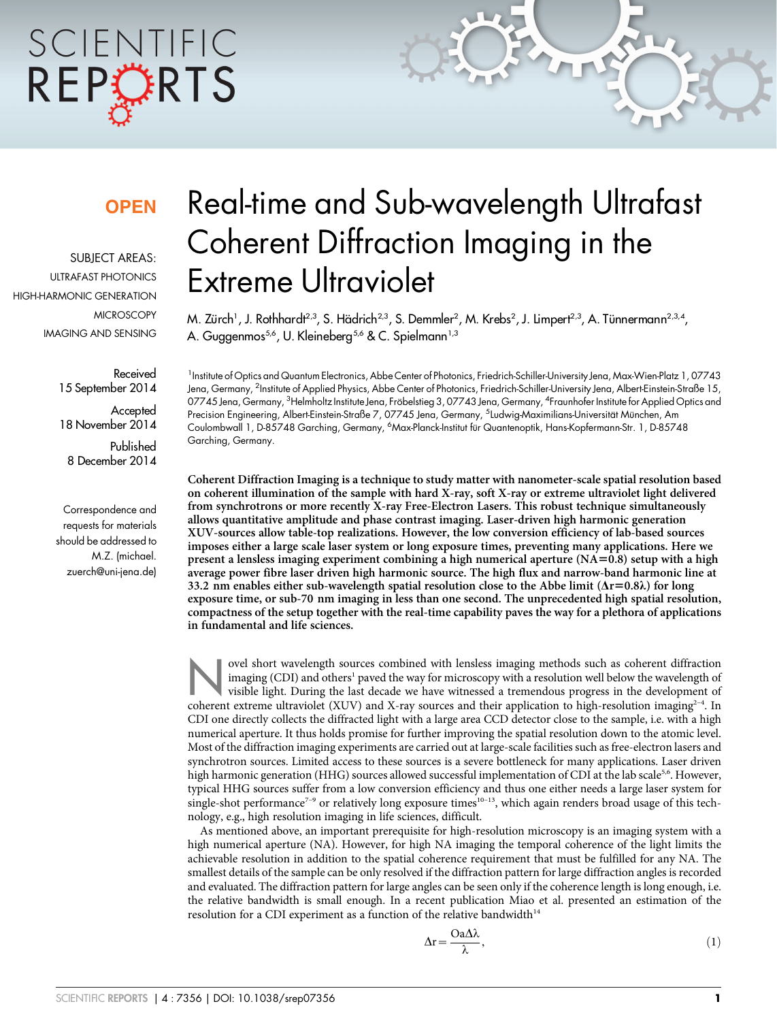# SCIENTIFIC REPORTS

### **OPEN**

SUBJECT AREAS: ULTRAFAST PHOTONICS HIGH-HARMONIC GENERATION **MICROSCOPY** IMAGING AND SENSING

> Received 15 September 2014 **Accepted** 18 November 2014 Published 8 December 2014

Correspondence and requests for materials should be addressed to M.Z. (michael. zuerch@uni-jena.de)

## Real-time and Sub-wavelength Ultrafast Coherent Diffraction Imaging in the Extreme Ultraviolet

M. Zürch', J. Rothhardt<sup>2,3</sup>, S. Hädrich<sup>2,3</sup>, S. Demmler<sup>2</sup>, M. Krebs<sup>2</sup>, J. Limpert<sup>2,3</sup>, A. Tünnermann<sup>2,3,4</sup>, A. Guggenmos<sup>5,6</sup>, U. Kleineberg<sup>5,6</sup> & C. Spielmann<sup>1,3</sup>

<sup>1</sup> Institute of Optics and Quantum Electronics, Abbe Center of Photonics, Friedrich-Schiller-University Jena, Max-Wien-Platz 1, 07743 Jena, Germany, <sup>2</sup>Institute of Applied Physics, Abbe Center of Photonics, Friedrich-Schiller-University Jena, Albert-Einstein-Straße 15, 07745 Jena, Germany, <sup>3</sup>Helmholtz Institute Jena, Fröbelstieg 3, 07743 Jena, Germany, <sup>4</sup>Fraunhofer Institute for Applied Optics and Precision Engineering, Albert-Einstein-Straße 7, 07745 Jena, Germany, <sup>5</sup>Ludwig-Maximilians-Universität München, Am Coulombwall 1, D-85748 Garching, Germany, <sup>6</sup>Max-Planck-Institut für Quantenoptik, Hans-Kopfermann-Str. 1, D-85748 Garching, Germany.

Coherent Diffraction Imaging is a technique to study matter with nanometer-scale spatial resolution based on coherent illumination of the sample with hard X-ray, soft X-ray or extreme ultraviolet light delivered from synchrotrons or more recently X-ray Free-Electron Lasers. This robust technique simultaneously allows quantitative amplitude and phase contrast imaging. Laser-driven high harmonic generation XUV-sources allow table-top realizations. However, the low conversion efficiency of lab-based sources imposes either a large scale laser system or long exposure times, preventing many applications. Here we present a lensless imaging experiment combining a high numerical aperture  $(NA=0.8)$  setup with a high average power fibre laser driven high harmonic source. The high flux and narrow-band harmonic line at 33.2 nm enables either sub-wavelength spatial resolution close to the Abbe limit ( $\Delta r=0.8\lambda$ ) for long exposure time, or sub-70 nm imaging in less than one second. The unprecedented high spatial resolution, compactness of the setup together with the real-time capability paves the way for a plethora of applications in fundamental and life sciences.

wel short wavelength sources combined with lensless imaging methods such as coherent diffraction<br>imaging (CDI) and others<sup>1</sup> paved the way for microscopy with a resolution well below the wavelength of<br>visible light. During imaging (CDI) and others<sup>1</sup> paved the way for microscopy with a resolution well below the wavelength of coherent extreme ultraviolet (XUV) and X-ray sources and their application to high-resolution imaging<sup>2-4</sup>. In CDI one directly collects the diffracted light with a large area CCD detector close to the sample, i.e. with a high numerical aperture. It thus holds promise for further improving the spatial resolution down to the atomic level. Most of the diffraction imaging experiments are carried out at large-scale facilities such as free-electron lasers and synchrotron sources. Limited access to these sources is a severe bottleneck for many applications. Laser driven high harmonic generation (HHG) sources allowed successful implementation of CDI at the lab scale<sup>5,6</sup>. However, typical HHG sources suffer from a low conversion efficiency and thus one either needs a large laser system for single-shot performance<sup>7-9</sup> or relatively long exposure times<sup>10-13</sup>, which again renders broad usage of this technology, e.g., high resolution imaging in life sciences, difficult.

As mentioned above, an important prerequisite for high-resolution microscopy is an imaging system with a high numerical aperture (NA). However, for high NA imaging the temporal coherence of the light limits the achievable resolution in addition to the spatial coherence requirement that must be fulfilled for any NA. The smallest details of the sample can be only resolved if the diffraction pattern for large diffraction angles is recorded and evaluated. The diffraction pattern for large angles can be seen only if the coherence length is long enough, i.e. the relative bandwidth is small enough. In a recent publication Miao et al. presented an estimation of the resolution for a CDI experiment as a function of the relative bandwidth<sup>14</sup>

$$
\Delta r = \frac{Oa\Delta\lambda}{\lambda},\tag{1}
$$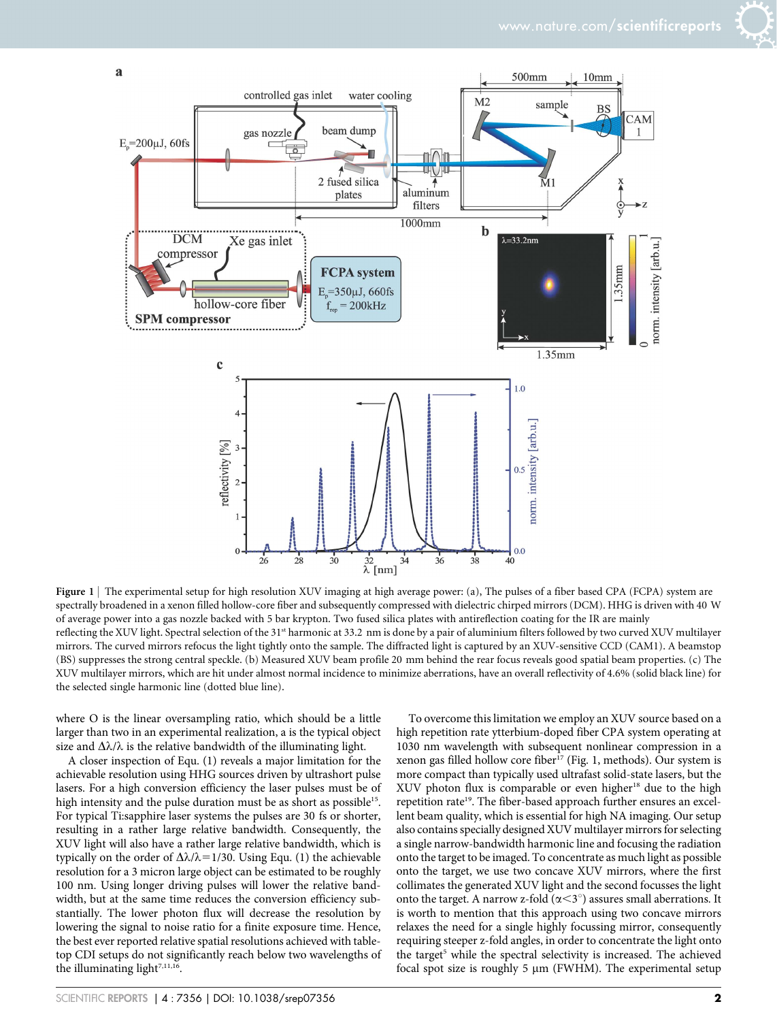

Figure 1 | The experimental setup for high resolution XUV imaging at high average power: (a), The pulses of a fiber based CPA (FCPA) system are spectrally broadened in a xenon filled hollow-core fiber and subsequently compressed with dielectric chirped mirrors (DCM). HHG is driven with 40 W of average power into a gas nozzle backed with 5 bar krypton. Two fused silica plates with antireflection coating for the IR are mainly reflecting the XUV light. Spectral selection of the 31<sup>st</sup> harmonic at 33.2 nm is done by a pair of aluminium filters followed by two curved XUV multilayer mirrors. The curved mirrors refocus the light tightly onto the sample. The diffracted light is captured by an XUV-sensitive CCD (CAM1). A beamstop (BS) suppresses the strong central speckle. (b) Measured XUV beam profile 20 mm behind the rear focus reveals good spatial beam properties. (c) The XUV multilayer mirrors, which are hit under almost normal incidence to minimize aberrations, have an overall reflectivity of 4.6% (solid black line) for the selected single harmonic line (dotted blue line).

where O is the linear oversampling ratio, which should be a little larger than two in an experimental realization, a is the typical object size and  $\Delta\lambda/\lambda$  is the relative bandwidth of the illuminating light.

A closer inspection of Equ. (1) reveals a major limitation for the achievable resolution using HHG sources driven by ultrashort pulse lasers. For a high conversion efficiency the laser pulses must be of high intensity and the pulse duration must be as short as possible<sup>15</sup>. For typical Ti:sapphire laser systems the pulses are 30 fs or shorter, resulting in a rather large relative bandwidth. Consequently, the XUV light will also have a rather large relative bandwidth, which is typically on the order of  $\Delta\lambda/\lambda$ =1/30. Using Equ. (1) the achievable resolution for a 3 micron large object can be estimated to be roughly 100 nm. Using longer driving pulses will lower the relative bandwidth, but at the same time reduces the conversion efficiency substantially. The lower photon flux will decrease the resolution by lowering the signal to noise ratio for a finite exposure time. Hence, the best ever reported relative spatial resolutions achieved with tabletop CDI setups do not significantly reach below two wavelengths of the illuminating light<sup>7,11,16</sup>.

To overcome this limitation we employ an XUV source based on a high repetition rate ytterbium-doped fiber CPA system operating at 1030 nm wavelength with subsequent nonlinear compression in a xenon gas filled hollow core fiber<sup>17</sup> (Fig. 1, methods). Our system is more compact than typically used ultrafast solid-state lasers, but the XUV photon flux is comparable or even higher<sup>18</sup> due to the high repetition rate<sup>19</sup>. The fiber-based approach further ensures an excellent beam quality, which is essential for high NA imaging. Our setup also contains specially designed XUV multilayer mirrors for selecting a single narrow-bandwidth harmonic line and focusing the radiation onto the target to be imaged. To concentrate as much light as possible onto the target, we use two concave XUV mirrors, where the first collimates the generated XUV light and the second focusses the light onto the target. A narrow z-fold  $(\alpha < 3^{\circ})$  assures small aberrations. It is worth to mention that this approach using two concave mirrors relaxes the need for a single highly focussing mirror, consequently requiring steeper z-fold angles, in order to concentrate the light onto the target<sup>5</sup> while the spectral selectivity is increased. The achieved focal spot size is roughly 5  $\mu$ m (FWHM). The experimental setup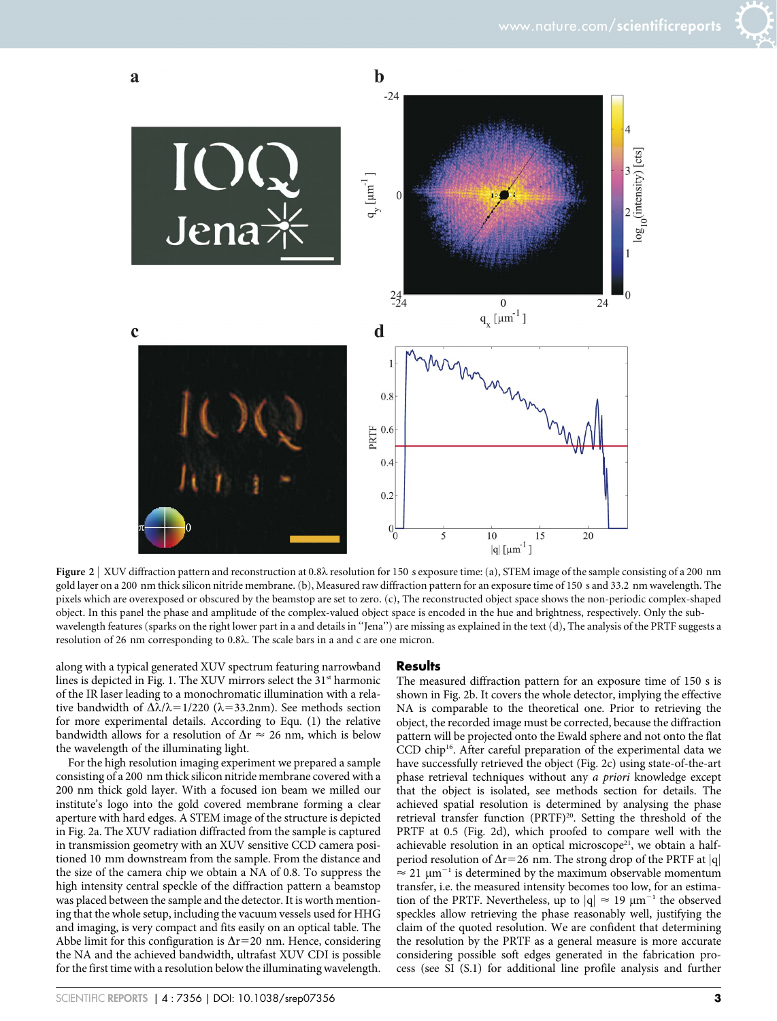



Figure 2 | XUV diffraction pattern and reconstruction at 0.8 $\lambda$  resolution for 150 s exposure time: (a), STEM image of the sample consisting of a 200 nm gold layer on a 200 nm thick silicon nitride membrane. (b), Measured raw diffraction pattern for an exposure time of 150 s and 33.2 nm wavelength. The pixels which are overexposed or obscured by the beamstop are set to zero. (c), The reconstructed object space shows the non-periodic complex-shaped object. In this panel the phase and amplitude of the complex-valued object space is encoded in the hue and brightness, respectively. Only the subwavelength features (sparks on the right lower part in a and details in ''Jena'') are missing as explained in the text (d), The analysis of the PRTF suggests a resolution of 26 nm corresponding to 0.8l. The scale bars in a and c are one micron.

along with a typical generated XUV spectrum featuring narrowband lines is depicted in Fig. 1. The XUV mirrors select the 31<sup>st</sup> harmonic of the IR laser leading to a monochromatic illumination with a relative bandwidth of  $\Delta\lambda/\lambda$ =1/220 ( $\lambda$ =33.2nm). See methods section for more experimental details. According to Equ. (1) the relative bandwidth allows for a resolution of  $\Delta r \approx 26$  nm, which is below the wavelength of the illuminating light.

For the high resolution imaging experiment we prepared a sample consisting of a 200 nm thick silicon nitride membrane covered with a 200 nm thick gold layer. With a focused ion beam we milled our institute's logo into the gold covered membrane forming a clear aperture with hard edges. A STEM image of the structure is depicted in Fig. 2a. The XUV radiation diffracted from the sample is captured in transmission geometry with an XUV sensitive CCD camera positioned 10 mm downstream from the sample. From the distance and the size of the camera chip we obtain a NA of 0.8. To suppress the high intensity central speckle of the diffraction pattern a beamstop was placed between the sample and the detector. It is worth mentioning that the whole setup, including the vacuum vessels used for HHG and imaging, is very compact and fits easily on an optical table. The Abbe limit for this configuration is  $\Delta$ r=20 nm. Hence, considering the NA and the achieved bandwidth, ultrafast XUV CDI is possible for the first time with a resolution below the illuminating wavelength.

#### SCIENTIFIC REPORTS | 4 : 7356 | DOI: 10.1038/srep07356 3

#### **Results**

The measured diffraction pattern for an exposure time of 150 s is shown in Fig. 2b. It covers the whole detector, implying the effective NA is comparable to the theoretical one. Prior to retrieving the object, the recorded image must be corrected, because the diffraction pattern will be projected onto the Ewald sphere and not onto the flat CCD chip16. After careful preparation of the experimental data we have successfully retrieved the object (Fig. 2c) using state-of-the-art phase retrieval techniques without any a priori knowledge except that the object is isolated, see methods section for details. The achieved spatial resolution is determined by analysing the phase retrieval transfer function (PRTF)<sup>20</sup>. Setting the threshold of the PRTF at 0.5 (Fig. 2d), which proofed to compare well with the achievable resolution in an optical microscope<sup>21</sup>, we obtain a halfperiod resolution of  $\Delta r=26$  nm. The strong drop of the PRTF at |q|  $\approx$  21  $\mu$ m<sup>-1</sup> is determined by the maximum observable momentum transfer, i.e. the measured intensity becomes too low, for an estimation of the PRTF. Nevertheless, up to  $|q| \approx 19 \ \mu m^{-1}$  the observed speckles allow retrieving the phase reasonably well, justifying the claim of the quoted resolution. We are confident that determining the resolution by the PRTF as a general measure is more accurate considering possible soft edges generated in the fabrication process (see SI (S.1) for additional line profile analysis and further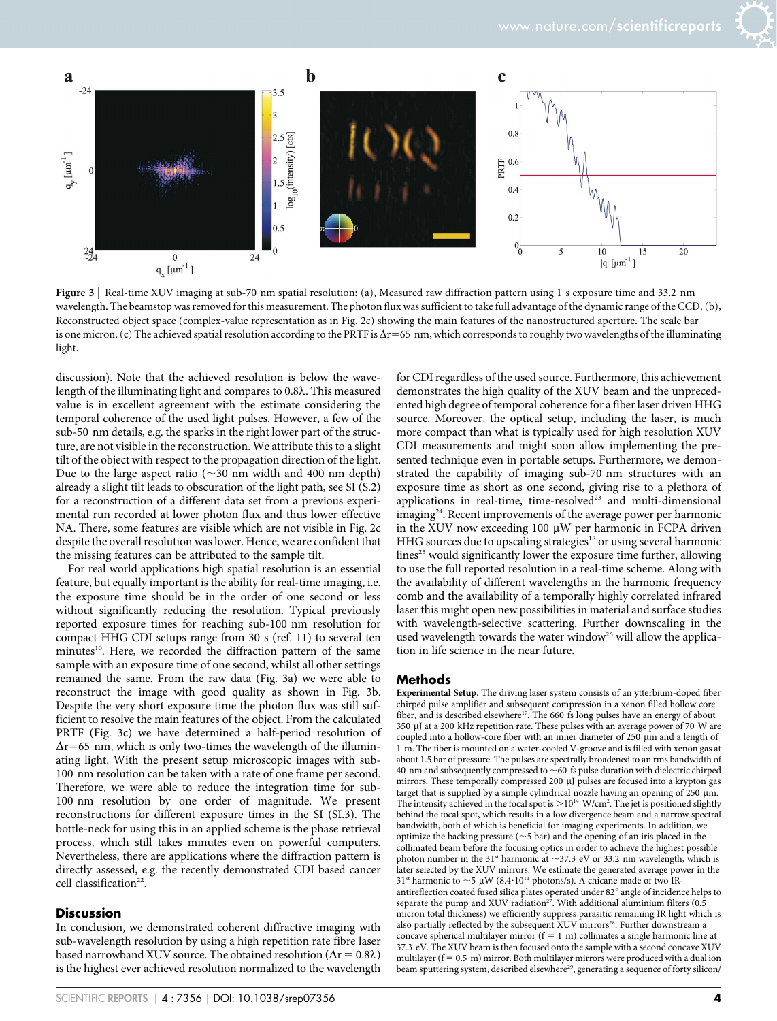

Figure 3 | Real-time XUV imaging at sub-70 nm spatial resolution: (a), Measured raw diffraction pattern using 1 s exposure time and 33.2 nm wavelength. The beamstop was removed for this measurement. The photon flux was sufficient to take full advantage of the dynamic range of the CCD. (b), Reconstructed object space (complex-value representation as in Fig. 2c) showing the main features of the nanostructured aperture. The scale bar is one micron. (c) The achieved spatial resolution according to the PRTF is  $\Delta r = 65$  nm, which corresponds to roughly two wavelengths of the illuminating light.

discussion). Note that the achieved resolution is below the wavelength of the illuminating light and compares to 0.8l. This measured value is in excellent agreement with the estimate considering the temporal coherence of the used light pulses. However, a few of the sub-50 nm details, e.g. the sparks in the right lower part of the structure, are not visible in the reconstruction. We attribute this to a slight tilt of the object with respect to the propagation direction of the light. Due to the large aspect ratio ( $\sim$ 30 nm width and 400 nm depth) already a slight tilt leads to obscuration of the light path, see SI (S.2) for a reconstruction of a different data set from a previous experimental run recorded at lower photon flux and thus lower effective NA. There, some features are visible which are not visible in Fig. 2c despite the overall resolution was lower. Hence, we are confident that the missing features can be attributed to the sample tilt.

For real world applications high spatial resolution is an essential feature, but equally important is the ability for real-time imaging, i.e. the exposure time should be in the order of one second or less without significantly reducing the resolution. Typical previously reported exposure times for reaching sub-100 nm resolution for compact HHG CDI setups range from 30 s (ref. 11) to several ten minutes<sup>10</sup>. Here, we recorded the diffraction pattern of the same sample with an exposure time of one second, whilst all other settings remained the same. From the raw data (Fig. 3a) we were able to reconstruct the image with good quality as shown in Fig. 3b. Despite the very short exposure time the photon flux was still sufficient to resolve the main features of the object. From the calculated PRTF (Fig. 3c) we have determined a half-period resolution of  $\Delta$ r=65 nm, which is only two-times the wavelength of the illuminating light. With the present setup microscopic images with sub-100 nm resolution can be taken with a rate of one frame per second. Therefore, we were able to reduce the integration time for sub-100 nm resolution by one order of magnitude. We present reconstructions for different exposure times in the SI (SI.3). The bottle-neck for using this in an applied scheme is the phase retrieval process, which still takes minutes even on powerful computers. Nevertheless, there are applications where the diffraction pattern is directly assessed, e.g. the recently demonstrated CDI based cancer cell classification<sup>22</sup>.

#### Discussion

In conclusion, we demonstrated coherent diffractive imaging with sub-wavelength resolution by using a high repetition rate fibre laser based narrowband XUV source. The obtained resolution ( $\Delta r = 0.8\lambda$ ) is the highest ever achieved resolution normalized to the wavelength for CDI regardless of the used source. Furthermore, this achievement demonstrates the high quality of the XUV beam and the unprecedented high degree of temporal coherence for a fiber laser driven HHG source. Moreover, the optical setup, including the laser, is much more compact than what is typically used for high resolution XUV CDI measurements and might soon allow implementing the presented technique even in portable setups. Furthermore, we demonstrated the capability of imaging sub-70 nm structures with an exposure time as short as one second, giving rise to a plethora of applications in real-time, time-resolved<sup>23</sup> and multi-dimensional imaging<sup>24</sup>. Recent improvements of the average power per harmonic in the XUV now exceeding 100  $\mu$ W per harmonic in FCPA driven HHG sources due to upscaling strategies<sup>18</sup> or using several harmonic lines<sup>25</sup> would significantly lower the exposure time further, allowing to use the full reported resolution in a real-time scheme. Along with the availability of different wavelengths in the harmonic frequency comb and the availability of a temporally highly correlated infrared laser this might open new possibilities in material and surface studies with wavelength-selective scattering. Further downscaling in the used wavelength towards the water window<sup>26</sup> will allow the application in life science in the near future.

#### Methods

Experimental Setup. The driving laser system consists of an ytterbium-doped fiber chirped pulse amplifier and subsequent compression in a xenon filled hollow core fiber, and is described elsewhere<sup>17</sup>. The 660 fs long pulses have an energy of about 350 mJ at a 200 kHz repetition rate. These pulses with an average power of 70 W are coupled into a hollow-core fiber with an inner diameter of 250  $\mu$ m and a length of 1 m. The fiber is mounted on a water-cooled V-groove and is filled with xenon gas at about 1.5 bar of pressure. The pulses are spectrally broadened to an rms bandwidth of 40 nm and subsequently compressed to  $\sim$  60 fs pulse duration with dielectric chirped mirrors. These temporally compressed 200 µJ pulses are focused into a krypton gas target that is supplied by a simple cylindrical nozzle having an opening of 250 mm. The intensity achieved in the focal spot is  $>$  10<sup>14</sup> W/cm<sup>2</sup>. The jet is positioned slightly behind the focal spot, which results in a low divergence beam and a narrow spectral bandwidth, both of which is beneficial for imaging experiments. In addition, we optimize the backing pressure ( $\sim$ 5 bar) and the opening of an iris placed in the collimated beam before the focusing optics in order to achieve the highest possible photon number in the 31<sup>st</sup> harmonic at  $\sim$ 37.3 eV or 33.2 nm wavelength, which is later selected by the XUV mirrors. We estimate the generated average power in the 31<sup>st</sup> harmonic to  $\sim$  5 µW (8.4·10<sup>11</sup> photons/s). A chicane made of two IRantireflection coated fused silica plates operated under 82° angle of incidence helps to separate the pump and XUV radiation<sup>27</sup>. With additional aluminium filters (0.5 micron total thickness) we efficiently suppress parasitic remaining IR light which is also partially reflected by the subsequent XUV mirrors<sup>28</sup>. Further downstream a concave spherical multilayer mirror  $(f = 1 \text{ m})$  collimates a single harmonic line at 37.3 eV. The XUV beam is then focused onto the sample with a second concave XUV multilayer ( $f = 0.5$  m) mirror. Both multilayer mirrors were produced with a dual ion beam sputtering system, described elsewhere<sup>29</sup>, generating a sequence of forty silicon/